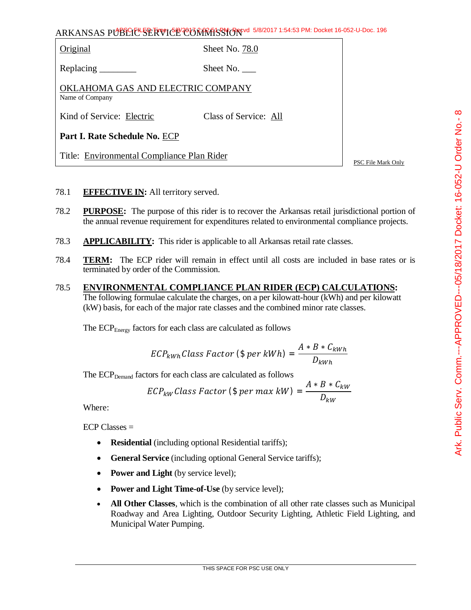ARKANSAS PUBLIC SERVICE COMMISSION 5/8/2017 1:54:53 PM: Docket 16-052-U-Doc. 196

Original Sheet No. 78.0

Replacing \_\_\_\_\_\_\_\_ Sheet No. \_\_\_\_

OKLAHOMA GAS AND ELECTRIC COMPANY Name of Company

Kind of Service: Electric Class of Service: All

**Part I. Rate Schedule No.** ECP

Title: Environmental Compliance Plan Rider

PSC File Mark Only

- 78.1 **EFFECTIVE IN:** All territory served.
- 78.2 **PURPOSE:** The purpose of this rider is to recover the Arkansas retail jurisdictional portion of the annual revenue requirement for expenditures related to environmental compliance projects.
- 78.3 **APPLICABILITY:** This rider is applicable to all Arkansas retail rate classes.
- 78.4 **TERM:** The ECP rider will remain in effect until all costs are included in base rates or is terminated by order of the Commission.
- 78.5 **ENVIRONMENTAL COMPLIANCE PLAN RIDER (ECP) CALCULATIONS:** The following formulae calculate the charges, on a per kilowatt-hour (kWh) and per kilowatt (kW) basis, for each of the major rate classes and the combined minor rate classes.

The ECP<sub>Energy</sub> factors for each class are calculated as follows

$$
ECP_{kWh} Class Factor (\$ per kWh) = \frac{A * B * C_{kWh}}{D_{kWh}}
$$

The ECP<sub>Demand</sub> factors for each class are calculated as follows

$$
ECP_{kW} Class Factor (\$ per max kW) = \frac{A*B*C_{kW}}{D_{kW}}
$$

Where:

ECP Classes =

- **Residential** (including optional Residential tariffs);
- **General Service** (including optional General Service tariffs);
- **Power and Light** (by service level);
- **Power and Light Time-of-Use** (by service level);
- **All Other Classes**, which is the combination of all other rate classes such as Municipal Roadway and Area Lighting, Outdoor Security Lighting, Athletic Field Lighting, and Municipal Water Pumping.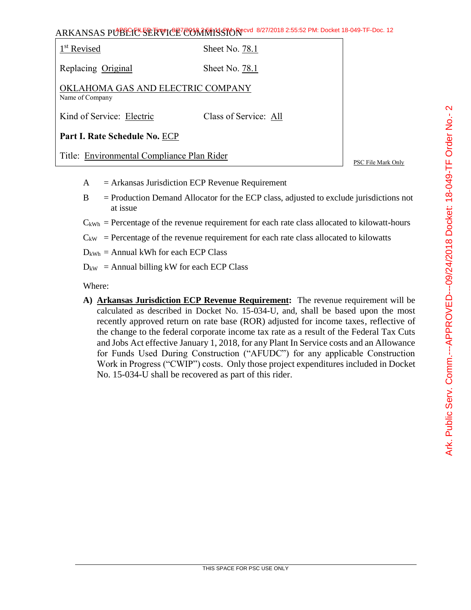|                                                      | ARKANSAS PUBSCIUL SERVICE COMMISSION Recvd 8/27/2018 2:55:52 PM: Docket 18-049-TF-Doc. 12 |  |
|------------------------------------------------------|-------------------------------------------------------------------------------------------|--|
| 1 <sup>st</sup> Revised                              | Sheet No. 78.1                                                                            |  |
| Replacing Original                                   | Sheet No. 78.1                                                                            |  |
| OKLAHOMA GAS AND ELECTRIC COMPANY<br>Name of Company |                                                                                           |  |
| Kind of Service: Electric                            | Class of Service: All                                                                     |  |

**Part I. Rate Schedule No.** ECP

Title: Environmental Compliance Plan Rider

PSC File Mark Only

- $A =$  Arkansas Jurisdiction ECP Revenue Requirement
- B = Production Demand Allocator for the ECP class, adjusted to exclude jurisdictions not at issue
- $C_{kWh}$  = Percentage of the revenue requirement for each rate class allocated to kilowatt-hours
- $C_{kW}$  = Percentage of the revenue requirement for each rate class allocated to kilowatts
- $D_{kWh}$  = Annual kWh for each ECP Class
- $D_{kW}$  = Annual billing kW for each ECP Class

Where:

**A) Arkansas Jurisdiction ECP Revenue Requirement:** The revenue requirement will be calculated as described in Docket No. 15-034-U, and, shall be based upon the most recently approved return on rate base (ROR) adjusted for income taxes, reflective of the change to the federal corporate income tax rate as a result of the Federal Tax Cuts and Jobs Act effective January 1, 2018, for any Plant In Service costs and an Allowance for Funds Used During Construction ("AFUDC") for any applicable Construction Work in Progress ("CWIP") costs. Only those project expenditures included in Docket No. 15-034-U shall be recovered as part of this rider.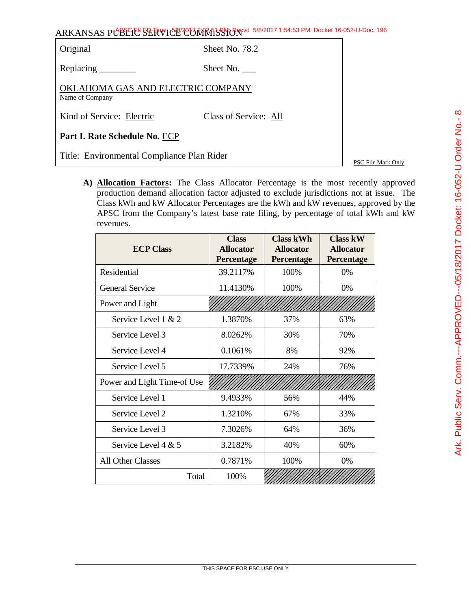ARKANSAS PUBLIC SERVICE COMMISSION 5/8/2017 1:54:53 PM: Docket 16-052-U-Doc. 196

| Original                                             | Sheet No. 78.2        |                    |
|------------------------------------------------------|-----------------------|--------------------|
|                                                      | Sheet No. $\_\_$      |                    |
| OKLAHOMA GAS AND ELECTRIC COMPANY<br>Name of Company |                       |                    |
| Kind of Service: Electric                            | Class of Service: All |                    |
| Part I. Rate Schedule No. ECP                        |                       |                    |
| Title: Environmental Compliance Plan Rider           |                       | PSC File Mark Only |

**A) Allocation Factors:** The Class Allocator Percentage is the most recently approved production demand allocation factor adjusted to exclude jurisdictions not at issue. The Class kWh and kW Allocator Percentages are the kWh and kW revenues, approved by the APSC from the Company's latest base rate filing, by percentage of total kWh and kW revenues.

| <b>ECP Class</b>            | <b>Class</b><br><b>Allocator</b><br>Percentage | <b>Class kWh</b><br><b>Allocator</b><br><b>Percentage</b> | <b>Class kW</b><br><b>Allocator</b><br><b>Percentage</b> |
|-----------------------------|------------------------------------------------|-----------------------------------------------------------|----------------------------------------------------------|
| Residential                 | 39.2117%                                       | 100%                                                      | 0%                                                       |
| <b>General Service</b>      | 11.4130%                                       | 100%                                                      | $0\%$                                                    |
| Power and Light             |                                                |                                                           |                                                          |
| Service Level $1 & 2$       | 1.3870%                                        | 37%                                                       | 63%                                                      |
| Service Level 3             | 8.0262%                                        | 30%                                                       | 70%                                                      |
| Service Level 4             | 0.1061%                                        | 8%                                                        | 92%                                                      |
| Service Level 5             | 17.7339%                                       | 24%                                                       | 76%                                                      |
| Power and Light Time-of Use |                                                |                                                           |                                                          |
| Service Level 1             | 9.4933%                                        | 56%                                                       | 44%                                                      |
| Service Level 2             | 1.3210%                                        | 67%                                                       | 33%                                                      |
| Service Level 3             | 7.3026%                                        | 64%                                                       | 36%                                                      |
| Service Level 4 $& 5$       | 3.2182%                                        | 40%                                                       | 60%                                                      |
| <b>All Other Classes</b>    | 0.7871%                                        | 100%                                                      | 0%                                                       |
| Total                       | 100%                                           |                                                           |                                                          |